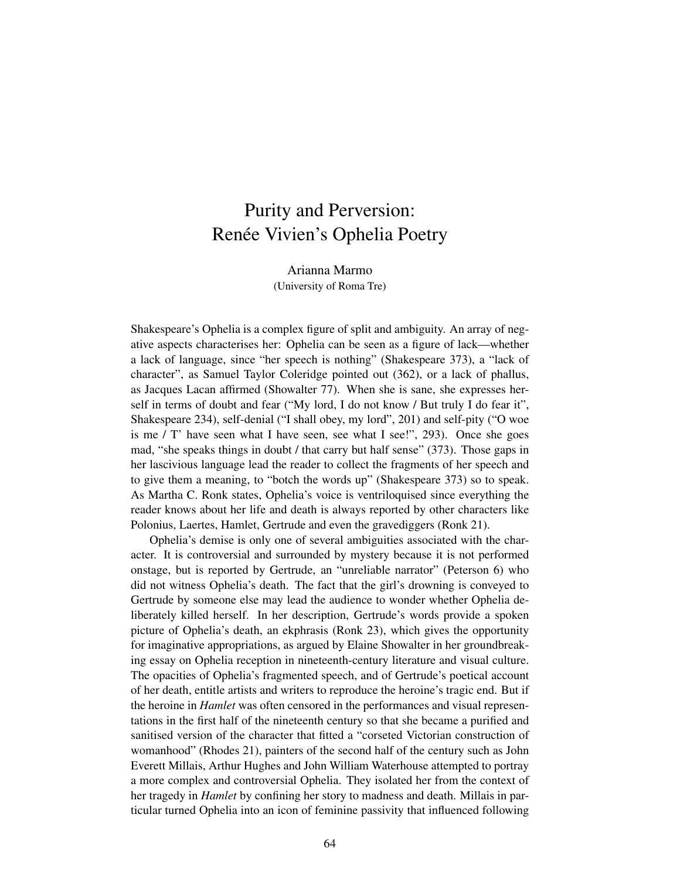## Purity and Perversion: Renée Vivien's Ophelia Poetry

Arianna Marmo (University of Roma Tre)

Shakespeare's Ophelia is a complex figure of split and ambiguity. An array of negative aspects characterises her: Ophelia can be seen as a figure of lack—whether a lack of language, since "her speech is nothing" (Shakespeare 373), a "lack of character", as Samuel Taylor Coleridge pointed out (362), or a lack of phallus, as Jacques Lacan affirmed (Showalter 77). When she is sane, she expresses herself in terms of doubt and fear ("My lord, I do not know / But truly I do fear it", Shakespeare 234), self-denial ("I shall obey, my lord", 201) and self-pity ("O woe is me  $\ell$  T' have seen what I have seen, see what I see!", 293). Once she goes mad, "she speaks things in doubt / that carry but half sense" (373). Those gaps in her lascivious language lead the reader to collect the fragments of her speech and to give them a meaning, to "botch the words up" (Shakespeare 373) so to speak. As Martha C. Ronk states, Ophelia's voice is ventriloquised since everything the reader knows about her life and death is always reported by other characters like Polonius, Laertes, Hamlet, Gertrude and even the gravediggers (Ronk 21).

Ophelia's demise is only one of several ambiguities associated with the character. It is controversial and surrounded by mystery because it is not performed onstage, but is reported by Gertrude, an "unreliable narrator" (Peterson 6) who did not witness Ophelia's death. The fact that the girl's drowning is conveyed to Gertrude by someone else may lead the audience to wonder whether Ophelia deliberately killed herself. In her description, Gertrude's words provide a spoken picture of Ophelia's death, an ekphrasis (Ronk 23), which gives the opportunity for imaginative appropriations, as argued by Elaine Showalter in her groundbreaking essay on Ophelia reception in nineteenth-century literature and visual culture. The opacities of Ophelia's fragmented speech, and of Gertrude's poetical account of her death, entitle artists and writers to reproduce the heroine's tragic end. But if the heroine in *Hamlet* was often censored in the performances and visual representations in the first half of the nineteenth century so that she became a purified and sanitised version of the character that fitted a "corseted Victorian construction of womanhood" (Rhodes 21), painters of the second half of the century such as John Everett Millais, Arthur Hughes and John William Waterhouse attempted to portray a more complex and controversial Ophelia. They isolated her from the context of her tragedy in *Hamlet* by confining her story to madness and death. Millais in particular turned Ophelia into an icon of feminine passivity that influenced following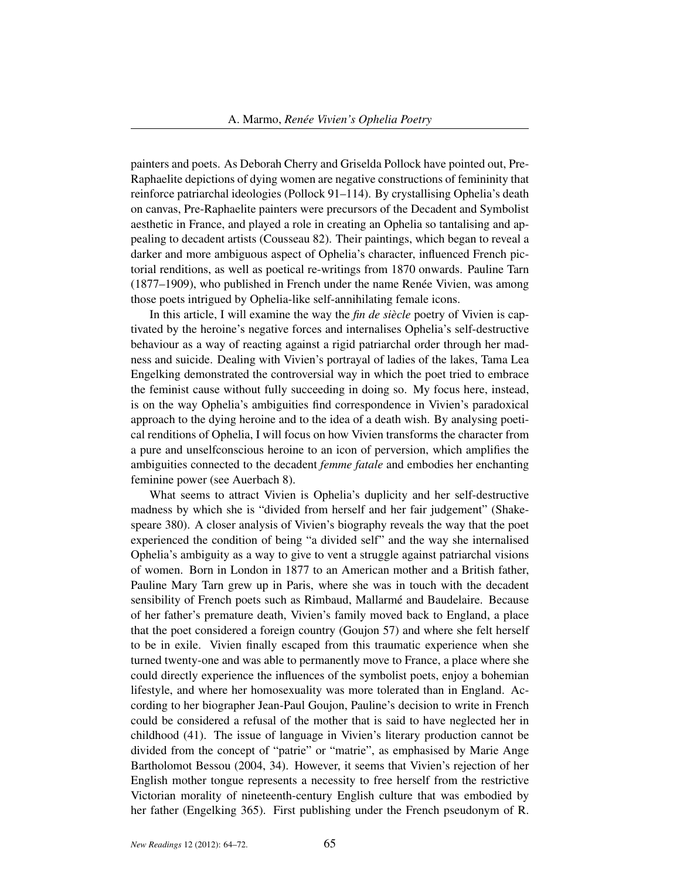painters and poets. As Deborah Cherry and Griselda Pollock have pointed out, Pre-Raphaelite depictions of dying women are negative constructions of femininity that reinforce patriarchal ideologies (Pollock 91–114). By crystallising Ophelia's death on canvas, Pre-Raphaelite painters were precursors of the Decadent and Symbolist aesthetic in France, and played a role in creating an Ophelia so tantalising and appealing to decadent artists (Cousseau 82). Their paintings, which began to reveal a darker and more ambiguous aspect of Ophelia's character, influenced French pictorial renditions, as well as poetical re-writings from 1870 onwards. Pauline Tarn (1877–1909), who published in French under the name Renée Vivien, was among those poets intrigued by Ophelia-like self-annihilating female icons.

In this article, I will examine the way the *fin de siècle* poetry of Vivien is captivated by the heroine's negative forces and internalises Ophelia's self-destructive behaviour as a way of reacting against a rigid patriarchal order through her madness and suicide. Dealing with Vivien's portrayal of ladies of the lakes, Tama Lea Engelking demonstrated the controversial way in which the poet tried to embrace the feminist cause without fully succeeding in doing so. My focus here, instead, is on the way Ophelia's ambiguities find correspondence in Vivien's paradoxical approach to the dying heroine and to the idea of a death wish. By analysing poetical renditions of Ophelia, I will focus on how Vivien transforms the character from a pure and unselfconscious heroine to an icon of perversion, which amplifies the ambiguities connected to the decadent *femme fatale* and embodies her enchanting feminine power (see Auerbach 8).

What seems to attract Vivien is Ophelia's duplicity and her self-destructive madness by which she is "divided from herself and her fair judgement" (Shakespeare 380). A closer analysis of Vivien's biography reveals the way that the poet experienced the condition of being "a divided self" and the way she internalised Ophelia's ambiguity as a way to give to vent a struggle against patriarchal visions of women. Born in London in 1877 to an American mother and a British father, Pauline Mary Tarn grew up in Paris, where she was in touch with the decadent sensibility of French poets such as Rimbaud, Mallarmé and Baudelaire. Because of her father's premature death, Vivien's family moved back to England, a place that the poet considered a foreign country (Goujon 57) and where she felt herself to be in exile. Vivien finally escaped from this traumatic experience when she turned twenty-one and was able to permanently move to France, a place where she could directly experience the influences of the symbolist poets, enjoy a bohemian lifestyle, and where her homosexuality was more tolerated than in England. According to her biographer Jean-Paul Goujon, Pauline's decision to write in French could be considered a refusal of the mother that is said to have neglected her in childhood (41). The issue of language in Vivien's literary production cannot be divided from the concept of "patrie" or "matrie", as emphasised by Marie Ange Bartholomot Bessou (2004, 34). However, it seems that Vivien's rejection of her English mother tongue represents a necessity to free herself from the restrictive Victorian morality of nineteenth-century English culture that was embodied by her father (Engelking 365). First publishing under the French pseudonym of R.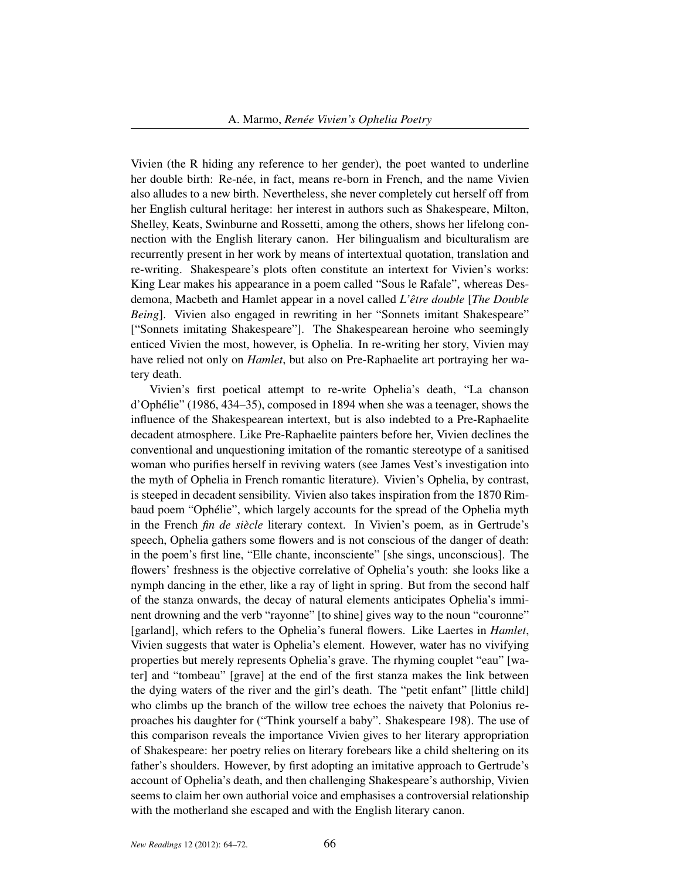Vivien (the R hiding any reference to her gender), the poet wanted to underline her double birth: Re-née, in fact, means re-born in French, and the name Vivien also alludes to a new birth. Nevertheless, she never completely cut herself off from her English cultural heritage: her interest in authors such as Shakespeare, Milton, Shelley, Keats, Swinburne and Rossetti, among the others, shows her lifelong connection with the English literary canon. Her bilingualism and biculturalism are recurrently present in her work by means of intertextual quotation, translation and re-writing. Shakespeare's plots often constitute an intertext for Vivien's works: King Lear makes his appearance in a poem called "Sous le Rafale", whereas Desdemona, Macbeth and Hamlet appear in a novel called *L'être double* [*The Double Being*]. Vivien also engaged in rewriting in her "Sonnets imitant Shakespeare" ["Sonnets imitating Shakespeare"]. The Shakespearean heroine who seemingly enticed Vivien the most, however, is Ophelia. In re-writing her story, Vivien may have relied not only on *Hamlet*, but also on Pre-Raphaelite art portraying her watery death.

Vivien's first poetical attempt to re-write Ophelia's death, "La chanson d'Ophélie" (1986, 434–35), composed in 1894 when she was a teenager, shows the influence of the Shakespearean intertext, but is also indebted to a Pre-Raphaelite decadent atmosphere. Like Pre-Raphaelite painters before her, Vivien declines the conventional and unquestioning imitation of the romantic stereotype of a sanitised woman who purifies herself in reviving waters (see James Vest's investigation into the myth of Ophelia in French romantic literature). Vivien's Ophelia, by contrast, is steeped in decadent sensibility. Vivien also takes inspiration from the 1870 Rimbaud poem "Ophélie", which largely accounts for the spread of the Ophelia myth in the French *fin de siècle* literary context. In Vivien's poem, as in Gertrude's speech, Ophelia gathers some flowers and is not conscious of the danger of death: in the poem's first line, "Elle chante, inconsciente" [she sings, unconscious]. The flowers' freshness is the objective correlative of Ophelia's youth: she looks like a nymph dancing in the ether, like a ray of light in spring. But from the second half of the stanza onwards, the decay of natural elements anticipates Ophelia's imminent drowning and the verb "rayonne" [to shine] gives way to the noun "couronne" [garland], which refers to the Ophelia's funeral flowers. Like Laertes in *Hamlet*, Vivien suggests that water is Ophelia's element. However, water has no vivifying properties but merely represents Ophelia's grave. The rhyming couplet "eau" [water] and "tombeau" [grave] at the end of the first stanza makes the link between the dying waters of the river and the girl's death. The "petit enfant" [little child] who climbs up the branch of the willow tree echoes the naivety that Polonius reproaches his daughter for ("Think yourself a baby". Shakespeare 198). The use of this comparison reveals the importance Vivien gives to her literary appropriation of Shakespeare: her poetry relies on literary forebears like a child sheltering on its father's shoulders. However, by first adopting an imitative approach to Gertrude's account of Ophelia's death, and then challenging Shakespeare's authorship, Vivien seems to claim her own authorial voice and emphasises a controversial relationship with the motherland she escaped and with the English literary canon.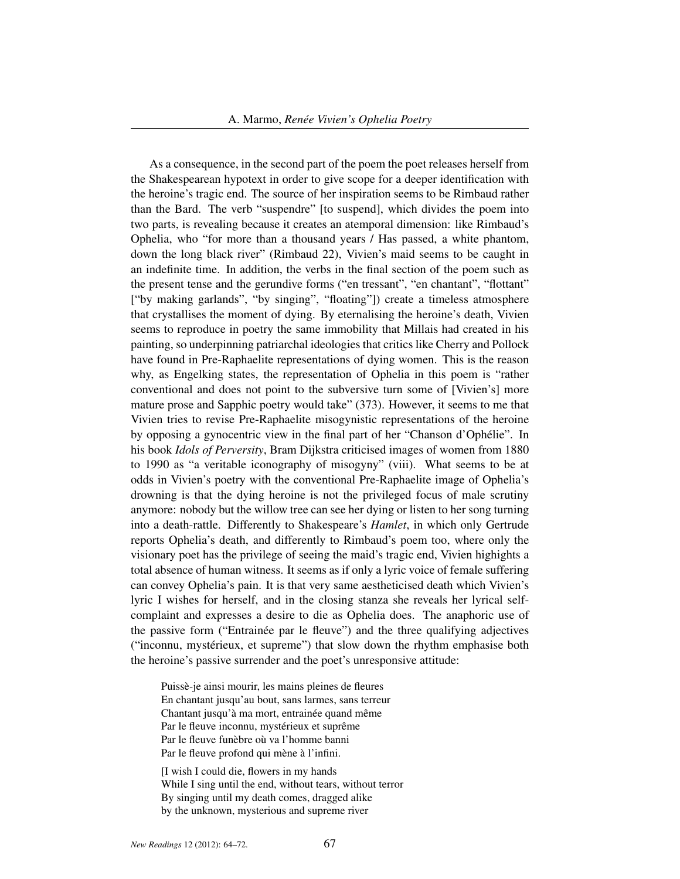As a consequence, in the second part of the poem the poet releases herself from the Shakespearean hypotext in order to give scope for a deeper identification with the heroine's tragic end. The source of her inspiration seems to be Rimbaud rather than the Bard. The verb "suspendre" [to suspend], which divides the poem into two parts, is revealing because it creates an atemporal dimension: like Rimbaud's Ophelia, who "for more than a thousand years / Has passed, a white phantom, down the long black river" (Rimbaud 22), Vivien's maid seems to be caught in an indefinite time. In addition, the verbs in the final section of the poem such as the present tense and the gerundive forms ("en tressant", "en chantant", "flottant" ["by making garlands", "by singing", "floating"]) create a timeless atmosphere that crystallises the moment of dying. By eternalising the heroine's death, Vivien seems to reproduce in poetry the same immobility that Millais had created in his painting, so underpinning patriarchal ideologies that critics like Cherry and Pollock have found in Pre-Raphaelite representations of dying women. This is the reason why, as Engelking states, the representation of Ophelia in this poem is "rather conventional and does not point to the subversive turn some of [Vivien's] more mature prose and Sapphic poetry would take" (373). However, it seems to me that Vivien tries to revise Pre-Raphaelite misogynistic representations of the heroine by opposing a gynocentric view in the final part of her "Chanson d'Ophélie". In his book *Idols of Perversity*, Bram Dijkstra criticised images of women from 1880 to 1990 as "a veritable iconography of misogyny" (viii). What seems to be at odds in Vivien's poetry with the conventional Pre-Raphaelite image of Ophelia's drowning is that the dying heroine is not the privileged focus of male scrutiny anymore: nobody but the willow tree can see her dying or listen to her song turning into a death-rattle. Differently to Shakespeare's *Hamlet*, in which only Gertrude reports Ophelia's death, and differently to Rimbaud's poem too, where only the visionary poet has the privilege of seeing the maid's tragic end, Vivien highights a total absence of human witness. It seems as if only a lyric voice of female suffering can convey Ophelia's pain. It is that very same aestheticised death which Vivien's lyric I wishes for herself, and in the closing stanza she reveals her lyrical selfcomplaint and expresses a desire to die as Ophelia does. The anaphoric use of the passive form ("Entrainée par le fleuve") and the three qualifying adjectives ("inconnu, mystérieux, et supreme") that slow down the rhythm emphasise both the heroine's passive surrender and the poet's unresponsive attitude:

Puissè-je ainsi mourir, les mains pleines de fleures En chantant jusqu'au bout, sans larmes, sans terreur Chantant jusqu'à ma mort, entrainée quand même Par le fleuve inconnu, mystérieux et suprême Par le fleuve funèbre où va l'homme banni Par le fleuve profond qui mène à l'infini.

[I wish I could die, flowers in my hands While I sing until the end, without tears, without terror By singing until my death comes, dragged alike by the unknown, mysterious and supreme river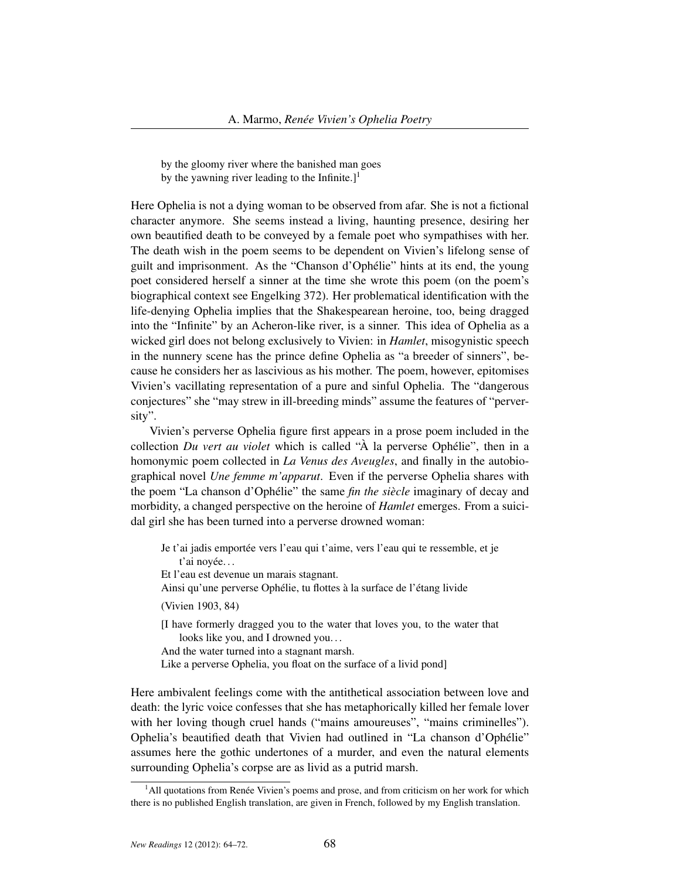by the gloomy river where the banished man goes by the yawning river leading to the Infinite.]<sup>1</sup>

Here Ophelia is not a dying woman to be observed from afar. She is not a fictional character anymore. She seems instead a living, haunting presence, desiring her own beautified death to be conveyed by a female poet who sympathises with her. The death wish in the poem seems to be dependent on Vivien's lifelong sense of guilt and imprisonment. As the "Chanson d'Ophélie" hints at its end, the young poet considered herself a sinner at the time she wrote this poem (on the poem's biographical context see Engelking 372). Her problematical identification with the life-denying Ophelia implies that the Shakespearean heroine, too, being dragged into the "Infinite" by an Acheron-like river, is a sinner. This idea of Ophelia as a wicked girl does not belong exclusively to Vivien: in *Hamlet*, misogynistic speech in the nunnery scene has the prince define Ophelia as "a breeder of sinners", because he considers her as lascivious as his mother. The poem, however, epitomises Vivien's vacillating representation of a pure and sinful Ophelia. The "dangerous conjectures" she "may strew in ill-breeding minds" assume the features of "perversity".

Vivien's perverse Ophelia figure first appears in a prose poem included in the collection *Du vert au violet* which is called "À la perverse Ophélie", then in a homonymic poem collected in *La Venus des Aveugles*, and finally in the autobiographical novel *Une femme m'apparut*. Even if the perverse Ophelia shares with the poem "La chanson d'Ophélie" the same *fin the siècle* imaginary of decay and morbidity, a changed perspective on the heroine of *Hamlet* emerges. From a suicidal girl she has been turned into a perverse drowned woman:

- Je t'ai jadis emportée vers l'eau qui t'aime, vers l'eau qui te ressemble, et je t'ai noyée. . .
- Et l'eau est devenue un marais stagnant.
- Ainsi qu'une perverse Ophélie, tu flottes à la surface de l'étang livide
- (Vivien 1903, 84)
- [I have formerly dragged you to the water that loves you, to the water that looks like you, and I drowned you...
- And the water turned into a stagnant marsh.
- Like a perverse Ophelia, you float on the surface of a livid pond]

Here ambivalent feelings come with the antithetical association between love and death: the lyric voice confesses that she has metaphorically killed her female lover with her loving though cruel hands ("mains amoureuses", "mains criminelles"). Ophelia's beautified death that Vivien had outlined in "La chanson d'Ophélie" assumes here the gothic undertones of a murder, and even the natural elements surrounding Ophelia's corpse are as livid as a putrid marsh.

<sup>&</sup>lt;sup>1</sup>All quotations from Renée Vivien's poems and prose, and from criticism on her work for which there is no published English translation, are given in French, followed by my English translation.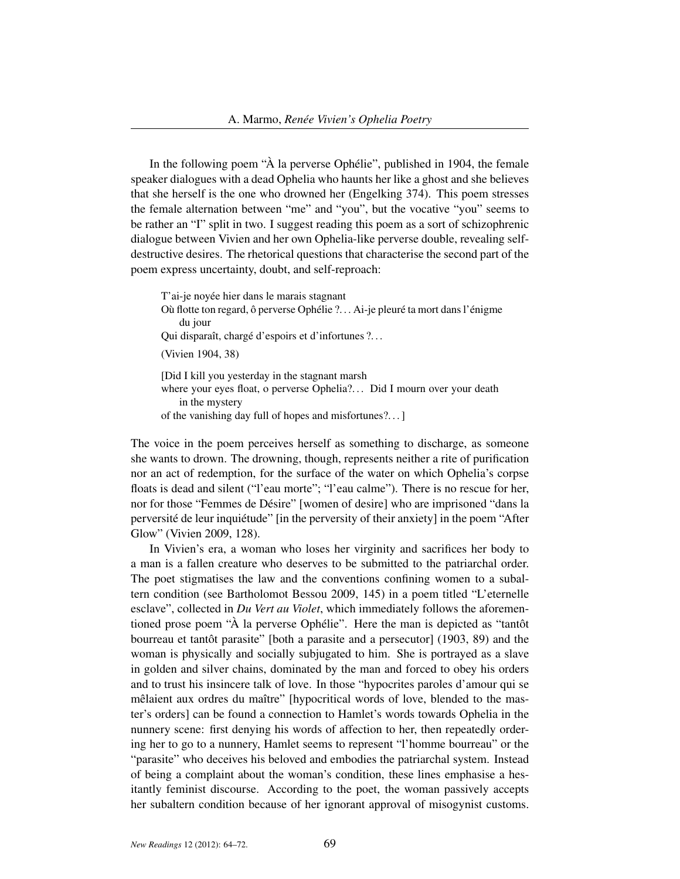In the following poem "À la perverse Ophélie", published in 1904, the female speaker dialogues with a dead Ophelia who haunts her like a ghost and she believes that she herself is the one who drowned her (Engelking 374). This poem stresses the female alternation between "me" and "you", but the vocative "you" seems to be rather an "I" split in two. I suggest reading this poem as a sort of schizophrenic dialogue between Vivien and her own Ophelia-like perverse double, revealing selfdestructive desires. The rhetorical questions that characterise the second part of the poem express uncertainty, doubt, and self-reproach:

T'ai-je noyée hier dans le marais stagnant Où flotte ton regard, ô perverse Ophélie ?. . . Ai-je pleuré ta mort dans l'énigme du jour Qui disparaît, chargé d'espoirs et d'infortunes ?. . . (Vivien 1904, 38) [Did I kill you yesterday in the stagnant marsh where your eyes float, o perverse Ophelia?... Did I mourn over your death in the mystery of the vanishing day full of hopes and misfortunes?. . . ]

The voice in the poem perceives herself as something to discharge, as someone she wants to drown. The drowning, though, represents neither a rite of purification nor an act of redemption, for the surface of the water on which Ophelia's corpse floats is dead and silent ("l'eau morte"; "l'eau calme"). There is no rescue for her, nor for those "Femmes de Désire" [women of desire] who are imprisoned "dans la perversité de leur inquiétude" [in the perversity of their anxiety] in the poem "After Glow" (Vivien 2009, 128).

In Vivien's era, a woman who loses her virginity and sacrifices her body to a man is a fallen creature who deserves to be submitted to the patriarchal order. The poet stigmatises the law and the conventions confining women to a subaltern condition (see Bartholomot Bessou 2009, 145) in a poem titled "L'eternelle esclave", collected in *Du Vert au Violet*, which immediately follows the aforementioned prose poem "À la perverse Ophélie". Here the man is depicted as "tantôt bourreau et tantôt parasite" [both a parasite and a persecutor] (1903, 89) and the woman is physically and socially subjugated to him. She is portrayed as a slave in golden and silver chains, dominated by the man and forced to obey his orders and to trust his insincere talk of love. In those "hypocrites paroles d'amour qui se mêlaient aux ordres du maître" [hypocritical words of love, blended to the master's orders] can be found a connection to Hamlet's words towards Ophelia in the nunnery scene: first denying his words of affection to her, then repeatedly ordering her to go to a nunnery, Hamlet seems to represent "l'homme bourreau" or the "parasite" who deceives his beloved and embodies the patriarchal system. Instead of being a complaint about the woman's condition, these lines emphasise a hesitantly feminist discourse. According to the poet, the woman passively accepts her subaltern condition because of her ignorant approval of misogynist customs.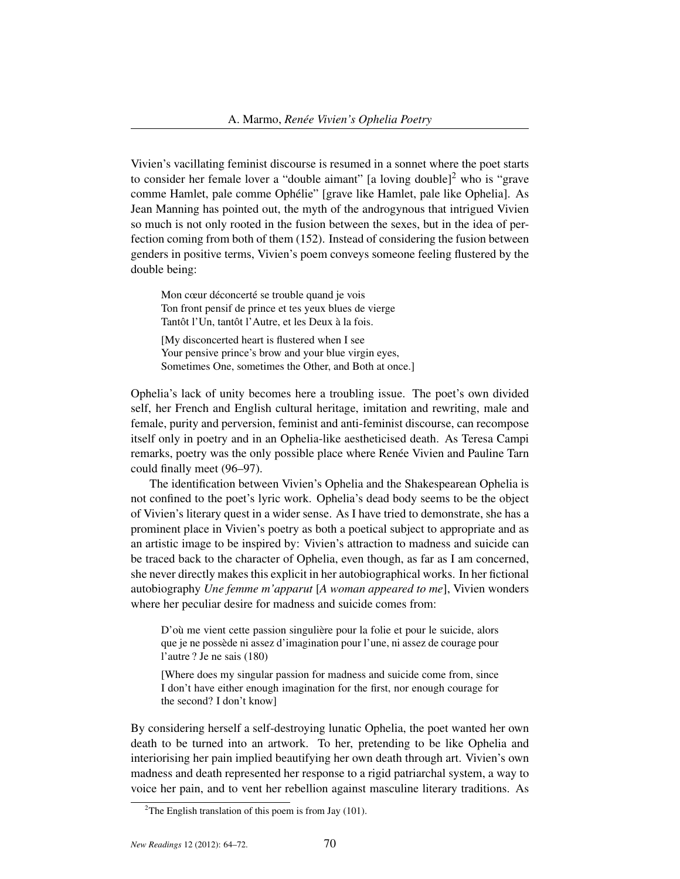Vivien's vacillating feminist discourse is resumed in a sonnet where the poet starts to consider her female lover a "double aimant" [a loving double]<sup>2</sup> who is "grave" comme Hamlet, pale comme Ophélie" [grave like Hamlet, pale like Ophelia]. As Jean Manning has pointed out, the myth of the androgynous that intrigued Vivien so much is not only rooted in the fusion between the sexes, but in the idea of perfection coming from both of them (152). Instead of considering the fusion between genders in positive terms, Vivien's poem conveys someone feeling flustered by the double being:

Mon cœur déconcerté se trouble quand je vois Ton front pensif de prince et tes yeux blues de vierge Tantôt l'Un, tantôt l'Autre, et les Deux à la fois.

[My disconcerted heart is flustered when I see Your pensive prince's brow and your blue virgin eyes, Sometimes One, sometimes the Other, and Both at once.]

Ophelia's lack of unity becomes here a troubling issue. The poet's own divided self, her French and English cultural heritage, imitation and rewriting, male and female, purity and perversion, feminist and anti-feminist discourse, can recompose itself only in poetry and in an Ophelia-like aestheticised death. As Teresa Campi remarks, poetry was the only possible place where Renée Vivien and Pauline Tarn could finally meet (96–97).

The identification between Vivien's Ophelia and the Shakespearean Ophelia is not confined to the poet's lyric work. Ophelia's dead body seems to be the object of Vivien's literary quest in a wider sense. As I have tried to demonstrate, she has a prominent place in Vivien's poetry as both a poetical subject to appropriate and as an artistic image to be inspired by: Vivien's attraction to madness and suicide can be traced back to the character of Ophelia, even though, as far as I am concerned, she never directly makes this explicit in her autobiographical works. In her fictional autobiography *Une femme m'apparut* [*A woman appeared to me*], Vivien wonders where her peculiar desire for madness and suicide comes from:

D'où me vient cette passion singulière pour la folie et pour le suicide, alors que je ne possède ni assez d'imagination pour l'une, ni assez de courage pour l'autre ? Je ne sais (180)

[Where does my singular passion for madness and suicide come from, since I don't have either enough imagination for the first, nor enough courage for the second? I don't know]

By considering herself a self-destroying lunatic Ophelia, the poet wanted her own death to be turned into an artwork. To her, pretending to be like Ophelia and interiorising her pain implied beautifying her own death through art. Vivien's own madness and death represented her response to a rigid patriarchal system, a way to voice her pain, and to vent her rebellion against masculine literary traditions. As

<sup>&</sup>lt;sup>2</sup>The English translation of this poem is from Jay (101).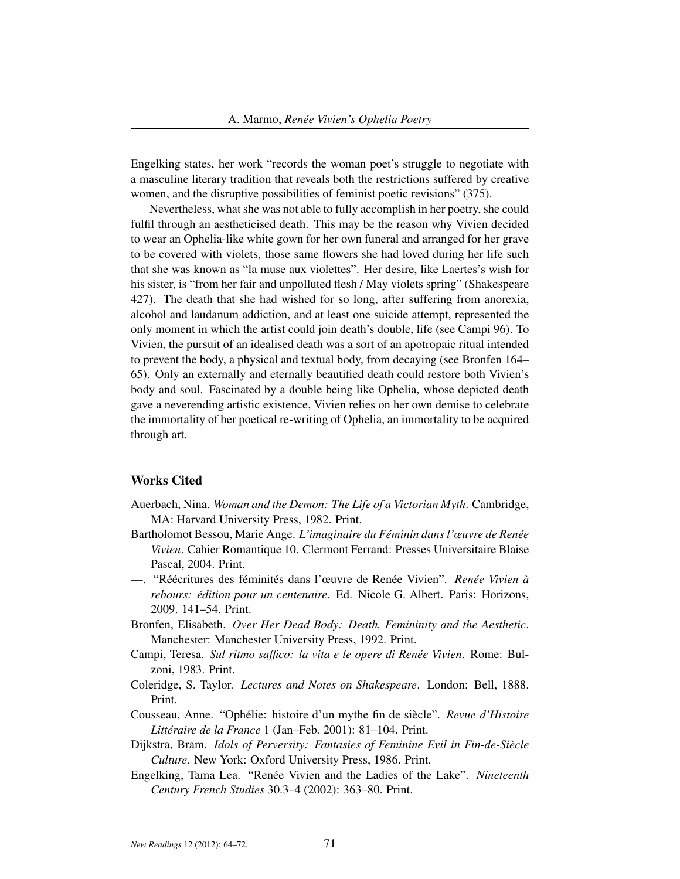Engelking states, her work "records the woman poet's struggle to negotiate with a masculine literary tradition that reveals both the restrictions suffered by creative women, and the disruptive possibilities of feminist poetic revisions" (375).

Nevertheless, what she was not able to fully accomplish in her poetry, she could fulfil through an aestheticised death. This may be the reason why Vivien decided to wear an Ophelia-like white gown for her own funeral and arranged for her grave to be covered with violets, those same flowers she had loved during her life such that she was known as "la muse aux violettes". Her desire, like Laertes's wish for his sister, is "from her fair and unpolluted flesh / May violets spring" (Shakespeare 427). The death that she had wished for so long, after suffering from anorexia, alcohol and laudanum addiction, and at least one suicide attempt, represented the only moment in which the artist could join death's double, life (see Campi 96). To Vivien, the pursuit of an idealised death was a sort of an apotropaic ritual intended to prevent the body, a physical and textual body, from decaying (see Bronfen 164– 65). Only an externally and eternally beautified death could restore both Vivien's body and soul. Fascinated by a double being like Ophelia, whose depicted death gave a neverending artistic existence, Vivien relies on her own demise to celebrate the immortality of her poetical re-writing of Ophelia, an immortality to be acquired through art.

## Works Cited

- Auerbach, Nina. *Woman and the Demon: The Life of a Victorian Myth*. Cambridge, MA: Harvard University Press, 1982. Print.
- Bartholomot Bessou, Marie Ange. *L'imaginaire du Féminin dans l'œuvre de Renée Vivien*. Cahier Romantique 10. Clermont Ferrand: Presses Universitaire Blaise Pascal, 2004. Print.
- —. "Réécritures des féminités dans l'œuvre de Renée Vivien". *Renée Vivien à rebours: édition pour un centenaire*. Ed. Nicole G. Albert. Paris: Horizons, 2009. 141–54. Print.
- Bronfen, Elisabeth. *Over Her Dead Body: Death, Femininity and the Aesthetic*. Manchester: Manchester University Press, 1992. Print.
- Campi, Teresa. *Sul ritmo saffico: la vita e le opere di Renée Vivien*. Rome: Bulzoni, 1983. Print.
- Coleridge, S. Taylor. *Lectures and Notes on Shakespeare*. London: Bell, 1888. Print.
- Cousseau, Anne. "Ophélie: histoire d'un mythe fin de siècle". *Revue d'Histoire Littéraire de la France* 1 (Jan–Feb. 2001): 81–104. Print.
- Dijkstra, Bram. *Idols of Perversity: Fantasies of Feminine Evil in Fin-de-Siècle Culture*. New York: Oxford University Press, 1986. Print.
- Engelking, Tama Lea. "Renée Vivien and the Ladies of the Lake". *Nineteenth Century French Studies* 30.3–4 (2002): 363–80. Print.